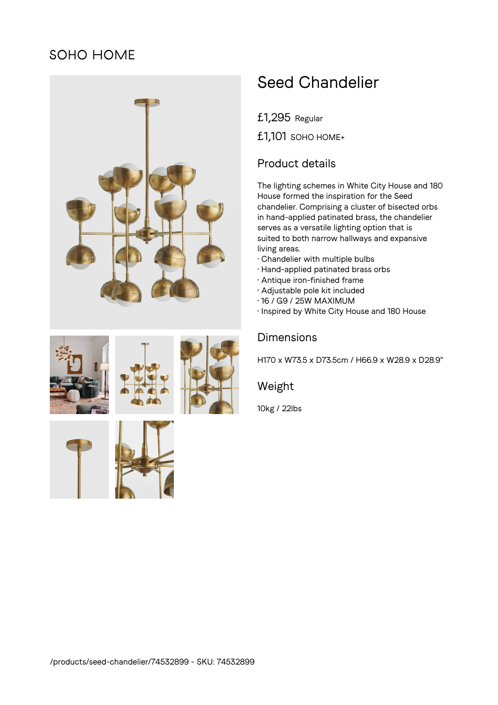## SOHO HOME





£1,295 Regular

£1,101 SOHO HOME+

## Product details

The lighting schemes in White City House and 180 House formed the inspiration for the Seed chandelier. Comprising a cluster of bisected orbs in hand-applied patinated brass, the chandelier serves as a versatile lighting option that is suited to both narrow hallways and expansive living areas.

- Chandelier with multiple bulbs
- Hand-applied patinated brass orbs
- Antique iron-finished frame
- Adjustable pole kit included
- 16 / G9 / 25W MAXIMUM
- Inspired by White City House and 180 House

## **Dimensions**

H170 x W73.5 x D73.5cm / H66.9 x W28.9 x D28.9"

Weight

10kg / 22lbs